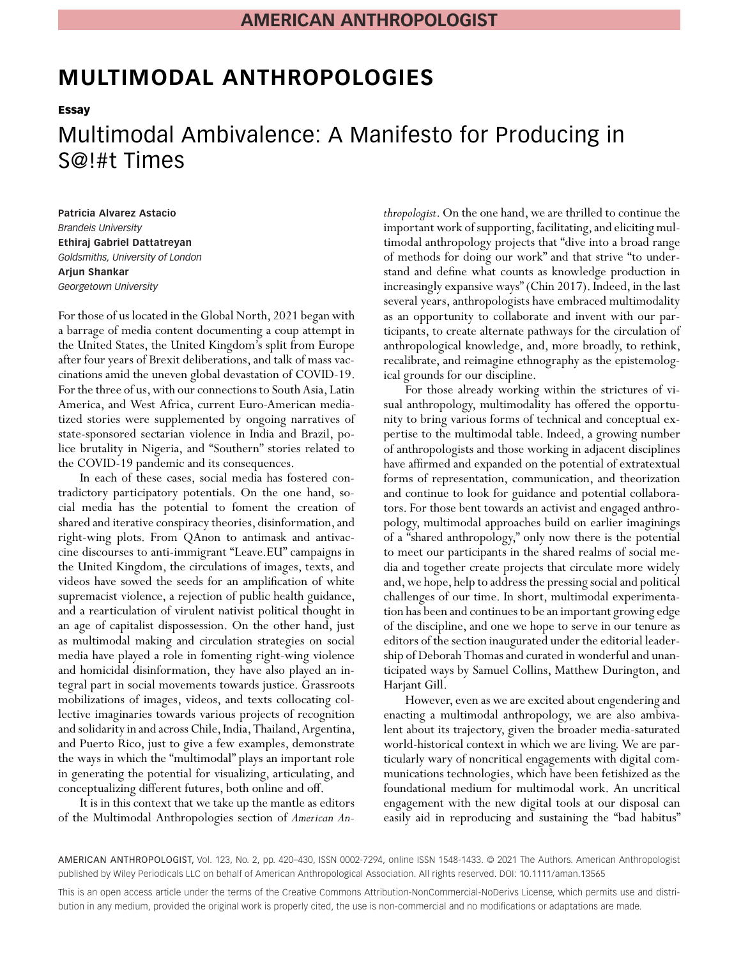# **MULTIMODAL ANTHROPOLOGIES**

**Essay**

# Multimodal Ambivalence: A Manifesto for Producing in S@!#t Times

**Patricia Alvarez Astacio** *Brandeis University* **Ethiraj Gabriel Dattatreyan** *Goldsmiths, University of London* **Arjun Shankar** *Georgetown University*

For those of us located in the Global North, 2021 began with a barrage of media content documenting a coup attempt in the United States, the United Kingdom's split from Europe after four years of Brexit deliberations, and talk of mass vaccinations amid the uneven global devastation of COVID-19. For the three of us, with our connections to South Asia, Latin America, and West Africa, current Euro-American mediatized stories were supplemented by ongoing narratives of state-sponsored sectarian violence in India and Brazil, police brutality in Nigeria, and "Southern" stories related to the COVID-19 pandemic and its consequences.

In each of these cases, social media has fostered contradictory participatory potentials. On the one hand, social media has the potential to foment the creation of shared and iterative conspiracy theories, disinformation, and right-wing plots. From QAnon to antimask and antivaccine discourses to anti-immigrant "Leave.EU" campaigns in the United Kingdom, the circulations of images, texts, and videos have sowed the seeds for an amplification of white supremacist violence, a rejection of public health guidance, and a rearticulation of virulent nativist political thought in an age of capitalist dispossession. On the other hand, just as multimodal making and circulation strategies on social media have played a role in fomenting right-wing violence and homicidal disinformation, they have also played an integral part in social movements towards justice. Grassroots mobilizations of images, videos, and texts collocating collective imaginaries towards various projects of recognition and solidarity in and across Chile, India, Thailand, Argentina, and Puerto Rico, just to give a few examples, demonstrate the ways in which the "multimodal" plays an important role in generating the potential for visualizing, articulating, and conceptualizing different futures, both online and off.

It is in this context that we take up the mantle as editors of the Multimodal Anthropologies section of *American An-*

*thropologist*. On the one hand, we are thrilled to continue the important work of supporting, facilitating, and eliciting multimodal anthropology projects that "dive into a broad range of methods for doing our work" and that strive "to understand and define what counts as knowledge production in increasingly expansive ways" (Chin 2017). Indeed, in the last several years, anthropologists have embraced multimodality as an opportunity to collaborate and invent with our participants, to create alternate pathways for the circulation of anthropological knowledge, and, more broadly, to rethink, recalibrate, and reimagine ethnography as the epistemological grounds for our discipline.

For those already working within the strictures of visual anthropology, multimodality has offered the opportunity to bring various forms of technical and conceptual expertise to the multimodal table. Indeed, a growing number of anthropologists and those working in adjacent disciplines have affirmed and expanded on the potential of extratextual forms of representation, communication, and theorization and continue to look for guidance and potential collaborators. For those bent towards an activist and engaged anthropology, multimodal approaches build on earlier imaginings of a "shared anthropology," only now there is the potential to meet our participants in the shared realms of social media and together create projects that circulate more widely and, we hope, help to address the pressing social and political challenges of our time. In short, multimodal experimentation has been and continues to be an important growing edge of the discipline, and one we hope to serve in our tenure as editors of the section inaugurated under the editorial leadership of Deborah Thomas and curated in wonderful and unanticipated ways by Samuel Collins, Matthew Durington, and Harjant Gill.

However, even as we are excited about engendering and enacting a multimodal anthropology, we are also ambivalent about its trajectory, given the broader media-saturated world-historical context in which we are living. We are particularly wary of noncritical engagements with digital communications technologies, which have been fetishized as the foundational medium for multimodal work. An uncritical engagement with the new digital tools at our disposal can easily aid in reproducing and sustaining the "bad habitus"

AMERICAN ANTHROPOLOGIST, Vol. 123, No. 2, pp. 420–430, ISSN 0002-7294, online ISSN 1548-1433. © 2021 The Authors. American Anthropologist published by Wiley Periodicals LLC on behalf of American Anthropological Association. All rights reserved. DOI: 10.1111/aman.13565

This is an open access article under the terms of the [Creative Commons Attribution-NonCommercial-NoDerivs](http://creativecommons.org/licenses/by-nc-nd/4.0/) License, which permits use and distribution in any medium, provided the original work is properly cited, the use is non-commercial and no modifications or adaptations are made.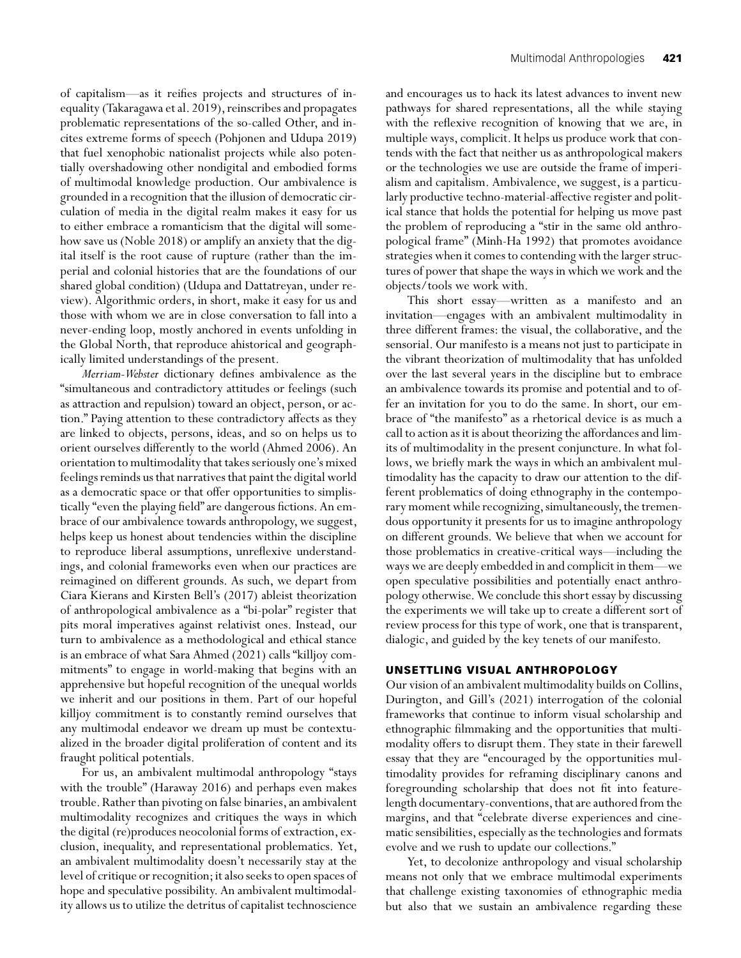of capitalism—as it reifies projects and structures of inequality (Takaragawa et al. 2019), reinscribes and propagates problematic representations of the so-called Other, and incites extreme forms of speech (Pohjonen and Udupa 2019) that fuel xenophobic nationalist projects while also potentially overshadowing other nondigital and embodied forms of multimodal knowledge production. Our ambivalence is grounded in a recognition that the illusion of democratic circulation of media in the digital realm makes it easy for us to either embrace a romanticism that the digital will somehow save us (Noble 2018) or amplify an anxiety that the digital itself is the root cause of rupture (rather than the imperial and colonial histories that are the foundations of our shared global condition) (Udupa and Dattatreyan, under review). Algorithmic orders, in short, make it easy for us and those with whom we are in close conversation to fall into a never-ending loop, mostly anchored in events unfolding in the Global North, that reproduce ahistorical and geographically limited understandings of the present.

*Merriam-Webster* dictionary defines ambivalence as the "simultaneous and contradictory attitudes or feelings (such as attraction and repulsion) toward an object, person, or action." Paying attention to these contradictory affects as they are linked to objects, persons, ideas, and so on helps us to orient ourselves differently to the world (Ahmed 2006). An orientation to multimodality that takes seriously one's mixed feelings reminds us that narratives that paint the digital world as a democratic space or that offer opportunities to simplistically "even the playing field" are dangerous fictions. An embrace of our ambivalence towards anthropology, we suggest, helps keep us honest about tendencies within the discipline to reproduce liberal assumptions, unreflexive understandings, and colonial frameworks even when our practices are reimagined on different grounds. As such, we depart from Ciara Kierans and Kirsten Bell's (2017) ableist theorization of anthropological ambivalence as a "bi-polar" register that pits moral imperatives against relativist ones. Instead, our turn to ambivalence as a methodological and ethical stance is an embrace of what Sara Ahmed (2021) calls "killjoy commitments" to engage in world-making that begins with an apprehensive but hopeful recognition of the unequal worlds we inherit and our positions in them. Part of our hopeful killjoy commitment is to constantly remind ourselves that any multimodal endeavor we dream up must be contextualized in the broader digital proliferation of content and its fraught political potentials.

For us, an ambivalent multimodal anthropology "stays with the trouble" (Haraway 2016) and perhaps even makes trouble. Rather than pivoting on false binaries, an ambivalent multimodality recognizes and critiques the ways in which the digital (re)produces neocolonial forms of extraction, exclusion, inequality, and representational problematics. Yet, an ambivalent multimodality doesn't necessarily stay at the level of critique or recognition; it also seeks to open spaces of hope and speculative possibility. An ambivalent multimodality allows us to utilize the detritus of capitalist technoscience

and encourages us to hack its latest advances to invent new pathways for shared representations, all the while staying with the reflexive recognition of knowing that we are, in multiple ways, complicit. It helps us produce work that contends with the fact that neither us as anthropological makers or the technologies we use are outside the frame of imperialism and capitalism. Ambivalence, we suggest, is a particularly productive techno-material-affective register and political stance that holds the potential for helping us move past the problem of reproducing a "stir in the same old anthropological frame" (Minh-Ha 1992) that promotes avoidance strategies when it comes to contending with the larger structures of power that shape the ways in which we work and the objects/tools we work with.

This short essay—written as a manifesto and an invitation—engages with an ambivalent multimodality in three different frames: the visual, the collaborative, and the sensorial. Our manifesto is a means not just to participate in the vibrant theorization of multimodality that has unfolded over the last several years in the discipline but to embrace an ambivalence towards its promise and potential and to offer an invitation for you to do the same. In short, our embrace of "the manifesto" as a rhetorical device is as much a call to action as it is about theorizing the affordances and limits of multimodality in the present conjuncture. In what follows, we briefly mark the ways in which an ambivalent multimodality has the capacity to draw our attention to the different problematics of doing ethnography in the contemporary moment while recognizing, simultaneously, the tremendous opportunity it presents for us to imagine anthropology on different grounds. We believe that when we account for those problematics in creative-critical ways—including the ways we are deeply embedded in and complicit in them—we open speculative possibilities and potentially enact anthropology otherwise.We conclude this short essay by discussing the experiments we will take up to create a different sort of review process for this type of work, one that is transparent, dialogic, and guided by the key tenets of our manifesto.

## **UNSETTLING VISUAL ANTHROPOLOGY**

Our vision of an ambivalent multimodality builds on Collins, Durington, and Gill's (2021) interrogation of the colonial frameworks that continue to inform visual scholarship and ethnographic filmmaking and the opportunities that multimodality offers to disrupt them. They state in their farewell essay that they are "encouraged by the opportunities multimodality provides for reframing disciplinary canons and foregrounding scholarship that does not fit into featurelength documentary-conventions, that are authored from the margins, and that "celebrate diverse experiences and cinematic sensibilities, especially as the technologies and formats evolve and we rush to update our collections."

Yet, to decolonize anthropology and visual scholarship means not only that we embrace multimodal experiments that challenge existing taxonomies of ethnographic media but also that we sustain an ambivalence regarding these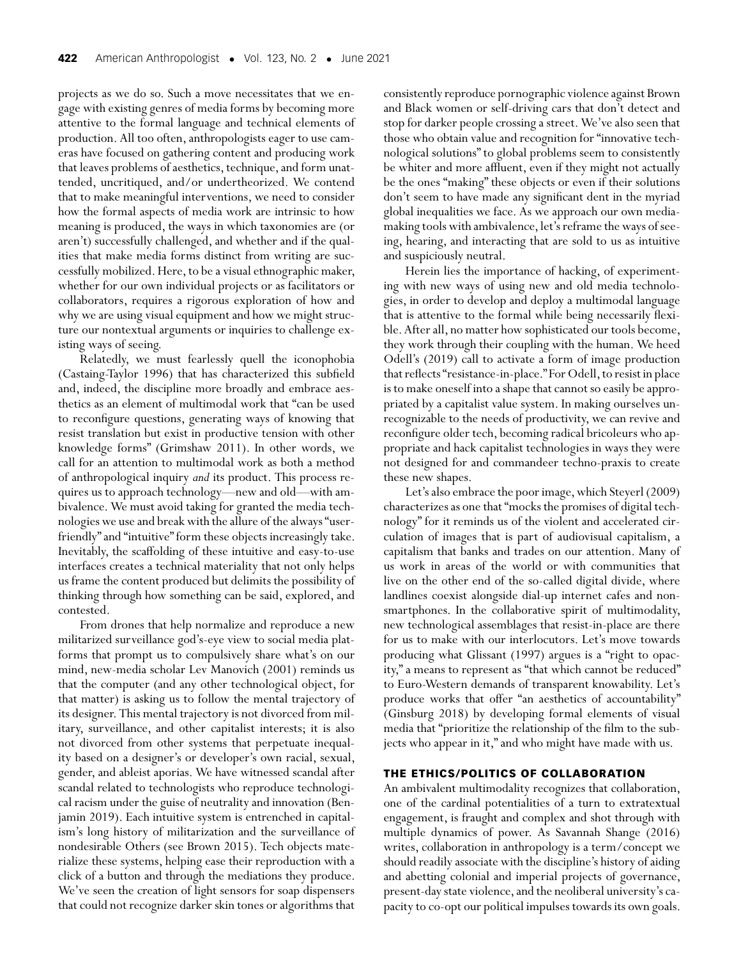projects as we do so. Such a move necessitates that we engage with existing genres of media forms by becoming more attentive to the formal language and technical elements of production. All too often, anthropologists eager to use cameras have focused on gathering content and producing work that leaves problems of aesthetics, technique, and form unattended, uncritiqued, and/or undertheorized. We contend that to make meaningful interventions, we need to consider how the formal aspects of media work are intrinsic to how meaning is produced, the ways in which taxonomies are (or aren't) successfully challenged, and whether and if the qualities that make media forms distinct from writing are successfully mobilized. Here, to be a visual ethnographic maker, whether for our own individual projects or as facilitators or collaborators, requires a rigorous exploration of how and why we are using visual equipment and how we might structure our nontextual arguments or inquiries to challenge existing ways of seeing.

Relatedly, we must fearlessly quell the iconophobia (Castaing-Taylor 1996) that has characterized this subfield and, indeed, the discipline more broadly and embrace aesthetics as an element of multimodal work that "can be used to reconfigure questions, generating ways of knowing that resist translation but exist in productive tension with other knowledge forms" (Grimshaw 2011). In other words, we call for an attention to multimodal work as both a method of anthropological inquiry *and* its product. This process requires us to approach technology—new and old—with ambivalence. We must avoid taking for granted the media technologies we use and break with the allure of the always "userfriendly" and "intuitive" form these objects increasingly take. Inevitably, the scaffolding of these intuitive and easy-to-use interfaces creates a technical materiality that not only helps us frame the content produced but delimits the possibility of thinking through how something can be said, explored, and contested.

From drones that help normalize and reproduce a new militarized surveillance god's-eye view to social media platforms that prompt us to compulsively share what's on our mind, new-media scholar Lev Manovich (2001) reminds us that the computer (and any other technological object, for that matter) is asking us to follow the mental trajectory of its designer. This mental trajectory is not divorced from military, surveillance, and other capitalist interests; it is also not divorced from other systems that perpetuate inequality based on a designer's or developer's own racial, sexual, gender, and ableist aporias. We have witnessed scandal after scandal related to technologists who reproduce technological racism under the guise of neutrality and innovation (Benjamin 2019). Each intuitive system is entrenched in capitalism's long history of militarization and the surveillance of nondesirable Others (see Brown 2015). Tech objects materialize these systems, helping ease their reproduction with a click of a button and through the mediations they produce. We've seen the creation of light sensors for soap dispensers that could not recognize darker skin tones or algorithms that

consistently reproduce pornographic violence against Brown and Black women or self-driving cars that don't detect and stop for darker people crossing a street.We've also seen that those who obtain value and recognition for "innovative technological solutions" to global problems seem to consistently be whiter and more affluent, even if they might not actually be the ones "making" these objects or even if their solutions don't seem to have made any significant dent in the myriad global inequalities we face. As we approach our own mediamaking tools with ambivalence, let's reframe the ways of seeing, hearing, and interacting that are sold to us as intuitive and suspiciously neutral.

Herein lies the importance of hacking, of experimenting with new ways of using new and old media technologies, in order to develop and deploy a multimodal language that is attentive to the formal while being necessarily flexible. After all, no matter how sophisticated our tools become, they work through their coupling with the human. We heed Odell's (2019) call to activate a form of image production that reflects "resistance-in-place." For Odell, to resist in place is to make oneself into a shape that cannot so easily be appropriated by a capitalist value system. In making ourselves unrecognizable to the needs of productivity, we can revive and reconfigure older tech, becoming radical bricoleurs who appropriate and hack capitalist technologies in ways they were not designed for and commandeer techno-praxis to create these new shapes.

Let's also embrace the poor image, which Steyerl (2009) characterizes as one that "mocks the promises of digital technology" for it reminds us of the violent and accelerated circulation of images that is part of audiovisual capitalism, a capitalism that banks and trades on our attention. Many of us work in areas of the world or with communities that live on the other end of the so-called digital divide, where landlines coexist alongside dial-up internet cafes and nonsmartphones. In the collaborative spirit of multimodality, new technological assemblages that resist-in-place are there for us to make with our interlocutors. Let's move towards producing what Glissant (1997) argues is a "right to opacity," a means to represent as "that which cannot be reduced" to Euro-Western demands of transparent knowability. Let's produce works that offer "an aesthetics of accountability" (Ginsburg 2018) by developing formal elements of visual media that "prioritize the relationship of the film to the subjects who appear in it," and who might have made with us.

#### **THE ETHICS/POLITICS OF COLLABORATION**

An ambivalent multimodality recognizes that collaboration, one of the cardinal potentialities of a turn to extratextual engagement, is fraught and complex and shot through with multiple dynamics of power. As Savannah Shange (2016) writes, collaboration in anthropology is a term/concept we should readily associate with the discipline's history of aiding and abetting colonial and imperial projects of governance, present-day state violence, and the neoliberal university's capacity to co-opt our political impulses towards its own goals.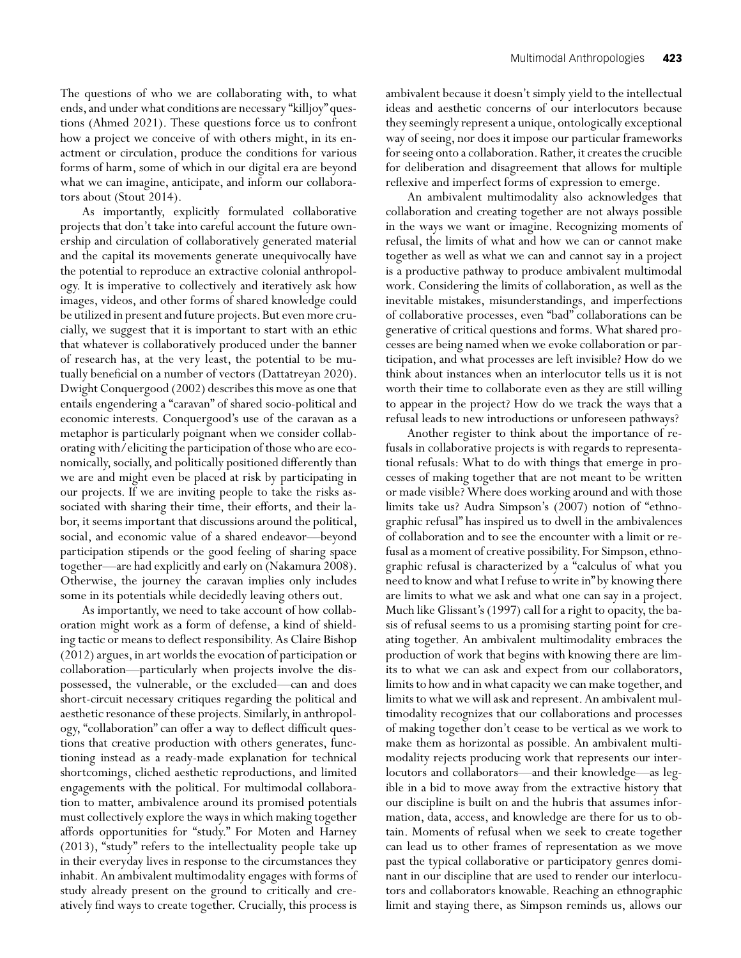The questions of who we are collaborating with, to what ends, and under what conditions are necessary "killjoy" questions (Ahmed 2021). These questions force us to confront how a project we conceive of with others might, in its enactment or circulation, produce the conditions for various forms of harm, some of which in our digital era are beyond what we can imagine, anticipate, and inform our collaborators about (Stout 2014).

As importantly, explicitly formulated collaborative projects that don't take into careful account the future ownership and circulation of collaboratively generated material and the capital its movements generate unequivocally have the potential to reproduce an extractive colonial anthropology. It is imperative to collectively and iteratively ask how images, videos, and other forms of shared knowledge could be utilized in present and future projects. But even more crucially, we suggest that it is important to start with an ethic that whatever is collaboratively produced under the banner of research has, at the very least, the potential to be mutually beneficial on a number of vectors (Dattatreyan 2020). Dwight Conquergood (2002) describes this move as one that entails engendering a "caravan" of shared socio-political and economic interests. Conquergood's use of the caravan as a metaphor is particularly poignant when we consider collaborating with/eliciting the participation of those who are economically, socially, and politically positioned differently than we are and might even be placed at risk by participating in our projects. If we are inviting people to take the risks associated with sharing their time, their efforts, and their labor, it seems important that discussions around the political, social, and economic value of a shared endeavor—beyond participation stipends or the good feeling of sharing space together—are had explicitly and early on (Nakamura 2008). Otherwise, the journey the caravan implies only includes some in its potentials while decidedly leaving others out.

As importantly, we need to take account of how collaboration might work as a form of defense, a kind of shielding tactic or means to deflect responsibility. As Claire Bishop (2012) argues, in art worlds the evocation of participation or collaboration—particularly when projects involve the dispossessed, the vulnerable, or the excluded—can and does short-circuit necessary critiques regarding the political and aesthetic resonance of these projects. Similarly, in anthropology, "collaboration" can offer a way to deflect difficult questions that creative production with others generates, functioning instead as a ready-made explanation for technical shortcomings, cliched aesthetic reproductions, and limited engagements with the political. For multimodal collaboration to matter, ambivalence around its promised potentials must collectively explore the ways in which making together affords opportunities for "study." For Moten and Harney (2013), "study" refers to the intellectuality people take up in their everyday lives in response to the circumstances they inhabit. An ambivalent multimodality engages with forms of study already present on the ground to critically and creatively find ways to create together. Crucially, this process is ambivalent because it doesn't simply yield to the intellectual ideas and aesthetic concerns of our interlocutors because they seemingly represent a unique, ontologically exceptional way of seeing, nor does it impose our particular frameworks for seeing onto a collaboration. Rather, it creates the crucible for deliberation and disagreement that allows for multiple reflexive and imperfect forms of expression to emerge.

An ambivalent multimodality also acknowledges that collaboration and creating together are not always possible in the ways we want or imagine. Recognizing moments of refusal, the limits of what and how we can or cannot make together as well as what we can and cannot say in a project is a productive pathway to produce ambivalent multimodal work. Considering the limits of collaboration, as well as the inevitable mistakes, misunderstandings, and imperfections of collaborative processes, even "bad" collaborations can be generative of critical questions and forms. What shared processes are being named when we evoke collaboration or participation, and what processes are left invisible? How do we think about instances when an interlocutor tells us it is not worth their time to collaborate even as they are still willing to appear in the project? How do we track the ways that a refusal leads to new introductions or unforeseen pathways?

Another register to think about the importance of refusals in collaborative projects is with regards to representational refusals: What to do with things that emerge in processes of making together that are not meant to be written or made visible? Where does working around and with those limits take us? Audra Simpson's (2007) notion of "ethnographic refusal" has inspired us to dwell in the ambivalences of collaboration and to see the encounter with a limit or refusal as a moment of creative possibility. For Simpson, ethnographic refusal is characterized by a "calculus of what you need to know and what I refuse to write in" by knowing there are limits to what we ask and what one can say in a project. Much like Glissant's (1997) call for a right to opacity, the basis of refusal seems to us a promising starting point for creating together. An ambivalent multimodality embraces the production of work that begins with knowing there are limits to what we can ask and expect from our collaborators, limits to how and in what capacity we can make together, and limits to what we will ask and represent. An ambivalent multimodality recognizes that our collaborations and processes of making together don't cease to be vertical as we work to make them as horizontal as possible. An ambivalent multimodality rejects producing work that represents our interlocutors and collaborators—and their knowledge—as legible in a bid to move away from the extractive history that our discipline is built on and the hubris that assumes information, data, access, and knowledge are there for us to obtain. Moments of refusal when we seek to create together can lead us to other frames of representation as we move past the typical collaborative or participatory genres dominant in our discipline that are used to render our interlocutors and collaborators knowable. Reaching an ethnographic limit and staying there, as Simpson reminds us, allows our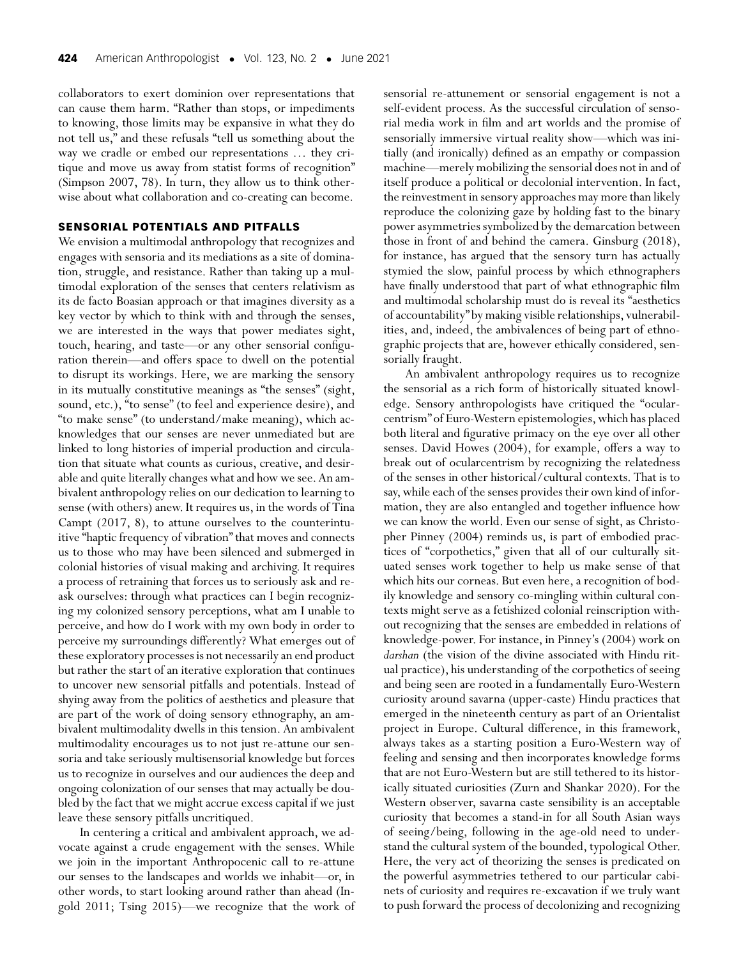collaborators to exert dominion over representations that can cause them harm. "Rather than stops, or impediments to knowing, those limits may be expansive in what they do not tell us," and these refusals "tell us something about the way we cradle or embed our representations … they critique and move us away from statist forms of recognition" (Simpson 2007, 78). In turn, they allow us to think otherwise about what collaboration and co-creating can become.

## **SENSORIAL POTENTIALS AND PITFALLS**

We envision a multimodal anthropology that recognizes and engages with sensoria and its mediations as a site of domination, struggle, and resistance. Rather than taking up a multimodal exploration of the senses that centers relativism as its de facto Boasian approach or that imagines diversity as a key vector by which to think with and through the senses, we are interested in the ways that power mediates sight, touch, hearing, and taste—or any other sensorial configuration therein—and offers space to dwell on the potential to disrupt its workings. Here, we are marking the sensory in its mutually constitutive meanings as "the senses" (sight, sound, etc.), "to sense" (to feel and experience desire), and "to make sense" (to understand/make meaning), which acknowledges that our senses are never unmediated but are linked to long histories of imperial production and circulation that situate what counts as curious, creative, and desirable and quite literally changes what and how we see. An ambivalent anthropology relies on our dedication to learning to sense (with others) anew. It requires us, in the words of Tina Campt (2017, 8), to attune ourselves to the counterintuitive "haptic frequency of vibration" that moves and connects us to those who may have been silenced and submerged in colonial histories of visual making and archiving. It requires a process of retraining that forces us to seriously ask and reask ourselves: through what practices can I begin recognizing my colonized sensory perceptions, what am I unable to perceive, and how do I work with my own body in order to perceive my surroundings differently? What emerges out of these exploratory processes is not necessarily an end product but rather the start of an iterative exploration that continues to uncover new sensorial pitfalls and potentials. Instead of shying away from the politics of aesthetics and pleasure that are part of the work of doing sensory ethnography, an ambivalent multimodality dwells in this tension. An ambivalent multimodality encourages us to not just re-attune our sensoria and take seriously multisensorial knowledge but forces us to recognize in ourselves and our audiences the deep and ongoing colonization of our senses that may actually be doubled by the fact that we might accrue excess capital if we just leave these sensory pitfalls uncritiqued.

In centering a critical and ambivalent approach, we advocate against a crude engagement with the senses. While we join in the important Anthropocenic call to re-attune our senses to the landscapes and worlds we inhabit—or, in other words, to start looking around rather than ahead (Ingold 2011; Tsing 2015)—we recognize that the work of

sensorial re-attunement or sensorial engagement is not a self-evident process. As the successful circulation of sensorial media work in film and art worlds and the promise of sensorially immersive virtual reality show—which was initially (and ironically) defined as an empathy or compassion machine—merely mobilizing the sensorial does not in and of itself produce a political or decolonial intervention. In fact, the reinvestment in sensory approaches may more than likely reproduce the colonizing gaze by holding fast to the binary power asymmetries symbolized by the demarcation between those in front of and behind the camera. Ginsburg (2018), for instance, has argued that the sensory turn has actually stymied the slow, painful process by which ethnographers have finally understood that part of what ethnographic film and multimodal scholarship must do is reveal its "aesthetics of accountability" by making visible relationships, vulnerabilities, and, indeed, the ambivalences of being part of ethnographic projects that are, however ethically considered, sensorially fraught.

An ambivalent anthropology requires us to recognize the sensorial as a rich form of historically situated knowledge. Sensory anthropologists have critiqued the "ocularcentrism" of Euro-Western epistemologies, which has placed both literal and figurative primacy on the eye over all other senses. David Howes (2004), for example, offers a way to break out of ocularcentrism by recognizing the relatedness of the senses in other historical/cultural contexts. That is to say, while each of the senses provides their own kind of information, they are also entangled and together influence how we can know the world. Even our sense of sight, as Christopher Pinney (2004) reminds us, is part of embodied practices of "corpothetics," given that all of our culturally situated senses work together to help us make sense of that which hits our corneas. But even here, a recognition of bodily knowledge and sensory co-mingling within cultural contexts might serve as a fetishized colonial reinscription without recognizing that the senses are embedded in relations of knowledge-power. For instance, in Pinney's (2004) work on *darshan* (the vision of the divine associated with Hindu ritual practice), his understanding of the corpothetics of seeing and being seen are rooted in a fundamentally Euro-Western curiosity around savarna (upper-caste) Hindu practices that emerged in the nineteenth century as part of an Orientalist project in Europe. Cultural difference, in this framework, always takes as a starting position a Euro-Western way of feeling and sensing and then incorporates knowledge forms that are not Euro-Western but are still tethered to its historically situated curiosities (Zurn and Shankar 2020). For the Western observer, savarna caste sensibility is an acceptable curiosity that becomes a stand-in for all South Asian ways of seeing/being, following in the age-old need to understand the cultural system of the bounded, typological Other. Here, the very act of theorizing the senses is predicated on the powerful asymmetries tethered to our particular cabinets of curiosity and requires re-excavation if we truly want to push forward the process of decolonizing and recognizing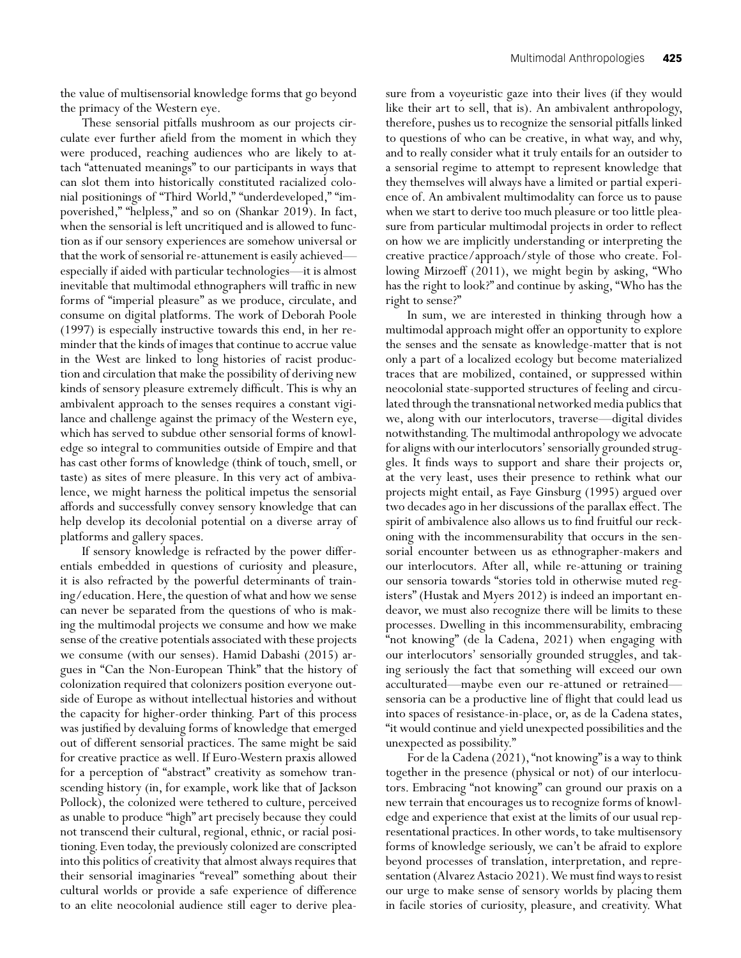the value of multisensorial knowledge forms that go beyond the primacy of the Western eye.

These sensorial pitfalls mushroom as our projects circulate ever further afield from the moment in which they were produced, reaching audiences who are likely to attach "attenuated meanings" to our participants in ways that can slot them into historically constituted racialized colonial positionings of "Third World," "underdeveloped," "impoverished," "helpless," and so on (Shankar 2019). In fact, when the sensorial is left uncritiqued and is allowed to function as if our sensory experiences are somehow universal or that the work of sensorial re-attunement is easily achieved especially if aided with particular technologies—it is almost inevitable that multimodal ethnographers will traffic in new forms of "imperial pleasure" as we produce, circulate, and consume on digital platforms. The work of Deborah Poole (1997) is especially instructive towards this end, in her reminder that the kinds of images that continue to accrue value in the West are linked to long histories of racist production and circulation that make the possibility of deriving new kinds of sensory pleasure extremely difficult. This is why an ambivalent approach to the senses requires a constant vigilance and challenge against the primacy of the Western eye, which has served to subdue other sensorial forms of knowledge so integral to communities outside of Empire and that has cast other forms of knowledge (think of touch, smell, or taste) as sites of mere pleasure. In this very act of ambivalence, we might harness the political impetus the sensorial affords and successfully convey sensory knowledge that can help develop its decolonial potential on a diverse array of platforms and gallery spaces.

If sensory knowledge is refracted by the power differentials embedded in questions of curiosity and pleasure, it is also refracted by the powerful determinants of training/education. Here, the question of what and how we sense can never be separated from the questions of who is making the multimodal projects we consume and how we make sense of the creative potentials associated with these projects we consume (with our senses). Hamid Dabashi (2015) argues in "Can the Non-European Think" that the history of colonization required that colonizers position everyone outside of Europe as without intellectual histories and without the capacity for higher-order thinking. Part of this process was justified by devaluing forms of knowledge that emerged out of different sensorial practices. The same might be said for creative practice as well. If Euro-Western praxis allowed for a perception of "abstract" creativity as somehow transcending history (in, for example, work like that of Jackson Pollock), the colonized were tethered to culture, perceived as unable to produce "high" art precisely because they could not transcend their cultural, regional, ethnic, or racial positioning. Even today, the previously colonized are conscripted into this politics of creativity that almost always requires that their sensorial imaginaries "reveal" something about their cultural worlds or provide a safe experience of difference to an elite neocolonial audience still eager to derive pleasure from a voyeuristic gaze into their lives (if they would like their art to sell, that is). An ambivalent anthropology, therefore, pushes us to recognize the sensorial pitfalls linked to questions of who can be creative, in what way, and why, and to really consider what it truly entails for an outsider to a sensorial regime to attempt to represent knowledge that they themselves will always have a limited or partial experience of. An ambivalent multimodality can force us to pause when we start to derive too much pleasure or too little pleasure from particular multimodal projects in order to reflect on how we are implicitly understanding or interpreting the creative practice/approach/style of those who create. Following Mirzoeff (2011), we might begin by asking, "Who has the right to look?" and continue by asking, "Who has the right to sense?"

In sum, we are interested in thinking through how a multimodal approach might offer an opportunity to explore the senses and the sensate as knowledge-matter that is not only a part of a localized ecology but become materialized traces that are mobilized, contained, or suppressed within neocolonial state-supported structures of feeling and circulated through the transnational networked media publics that we, along with our interlocutors, traverse—digital divides notwithstanding. The multimodal anthropology we advocate for aligns with our interlocutors' sensorially grounded struggles. It finds ways to support and share their projects or, at the very least, uses their presence to rethink what our projects might entail, as Faye Ginsburg (1995) argued over two decades ago in her discussions of the parallax effect. The spirit of ambivalence also allows us to find fruitful our reckoning with the incommensurability that occurs in the sensorial encounter between us as ethnographer-makers and our interlocutors. After all, while re-attuning or training our sensoria towards "stories told in otherwise muted registers" (Hustak and Myers 2012) is indeed an important endeavor, we must also recognize there will be limits to these processes. Dwelling in this incommensurability, embracing "not knowing" (de la Cadena, 2021) when engaging with our interlocutors' sensorially grounded struggles, and taking seriously the fact that something will exceed our own acculturated—maybe even our re-attuned or retrained sensoria can be a productive line of flight that could lead us into spaces of resistance-in-place, or, as de la Cadena states, "it would continue and yield unexpected possibilities and the unexpected as possibility."

For de la Cadena (2021), "not knowing" is a way to think together in the presence (physical or not) of our interlocutors. Embracing "not knowing" can ground our praxis on a new terrain that encourages us to recognize forms of knowledge and experience that exist at the limits of our usual representational practices. In other words, to take multisensory forms of knowledge seriously, we can't be afraid to explore beyond processes of translation, interpretation, and representation (Alvarez Astacio 2021). We must find ways to resist our urge to make sense of sensory worlds by placing them in facile stories of curiosity, pleasure, and creativity. What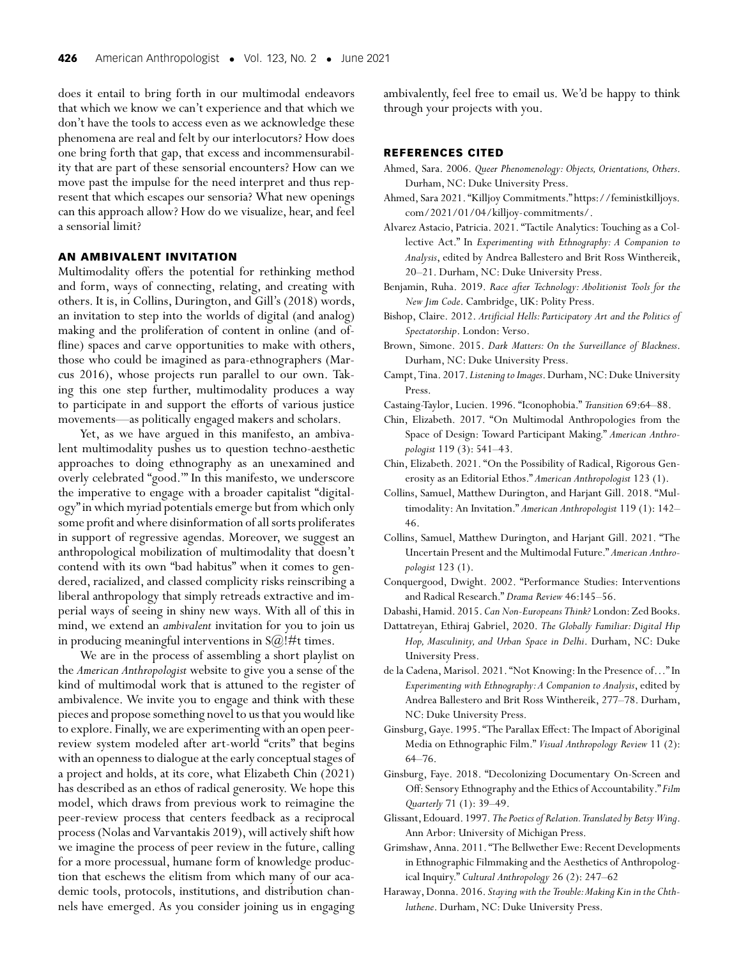does it entail to bring forth in our multimodal endeavors that which we know we can't experience and that which we don't have the tools to access even as we acknowledge these phenomena are real and felt by our interlocutors? How does one bring forth that gap, that excess and incommensurability that are part of these sensorial encounters? How can we move past the impulse for the need interpret and thus represent that which escapes our sensoria? What new openings can this approach allow? How do we visualize, hear, and feel a sensorial limit?

#### **AN AMBIVALENT INVITATION**

Multimodality offers the potential for rethinking method and form, ways of connecting, relating, and creating with others. It is, in Collins, Durington, and Gill's (2018) words, an invitation to step into the worlds of digital (and analog) making and the proliferation of content in online (and offline) spaces and carve opportunities to make with others, those who could be imagined as para-ethnographers (Marcus 2016), whose projects run parallel to our own. Taking this one step further, multimodality produces a way to participate in and support the efforts of various justice movements—as politically engaged makers and scholars.

Yet, as we have argued in this manifesto, an ambivalent multimodality pushes us to question techno-aesthetic approaches to doing ethnography as an unexamined and overly celebrated "good.'" In this manifesto, we underscore the imperative to engage with a broader capitalist "digitalogy" in which myriad potentials emerge but from which only some profit and where disinformation of all sorts proliferates in support of regressive agendas. Moreover, we suggest an anthropological mobilization of multimodality that doesn't contend with its own "bad habitus" when it comes to gendered, racialized, and classed complicity risks reinscribing a liberal anthropology that simply retreads extractive and imperial ways of seeing in shiny new ways. With all of this in mind, we extend an *ambivalent* invitation for you to join us in producing meaningful interventions in  $S(\widehat{\omega})$ !#t times.

We are in the process of assembling a short playlist on the *American Anthropologist* website to give you a sense of the kind of multimodal work that is attuned to the register of ambivalence. We invite you to engage and think with these pieces and propose something novel to us that you would like to explore. Finally, we are experimenting with an open peerreview system modeled after art-world "crits" that begins with an openness to dialogue at the early conceptual stages of a project and holds, at its core, what Elizabeth Chin (2021) has described as an ethos of radical generosity. We hope this model, which draws from previous work to reimagine the peer-review process that centers feedback as a reciprocal process (Nolas and Varvantakis 2019), will actively shift how we imagine the process of peer review in the future, calling for a more processual, humane form of knowledge production that eschews the elitism from which many of our academic tools, protocols, institutions, and distribution channels have emerged. As you consider joining us in engaging ambivalently, feel free to email us. We'd be happy to think through your projects with you.

#### **REFERENCES CITED**

- Ahmed, Sara. 2006. *Queer Phenomenology: Objects, Orientations, Others*. Durham, NC: Duke University Press.
- Ahmed, Sara 2021. "Killjoy Commitments." [https://feministkilljoys.](https://feministkilljoys.com/2021/01/04/killjoy-commitments/) [com/2021/01/04/killjoy-commitments/.](https://feministkilljoys.com/2021/01/04/killjoy-commitments/)
- Alvarez Astacio, Patricia. 2021. "Tactile Analytics: Touching as a Collective Act." In *Experimenting with Ethnography: A Companion to Analysis*, edited by Andrea Ballestero and Brit Ross Winthereik, 20–21. Durham, NC: Duke University Press.
- Benjamin, Ruha. 2019. *Race after Technology: Abolitionist Tools for the New Jim Code*. Cambridge, UK: Polity Press.
- Bishop, Claire. 2012. *Artificial Hells: Participatory Art and the Politics of Spectatorship*. London: Verso.
- Brown, Simone. 2015. *Dark Matters: On the Surveillance of Blackness*. Durham, NC: Duke University Press.
- Campt, Tina. 2017. *Listening to Images*. Durham, NC: Duke University Press.
- Castaing-Taylor, Lucien. 1996. "Iconophobia." *Transition* 69:64–88.
- Chin, Elizabeth. 2017. "On Multimodal Anthropologies from the Space of Design: Toward Participant Making." *American Anthropologist* 119 (3): 541–43.
- Chin, Elizabeth. 2021. "On the Possibility of Radical, Rigorous Generosity as an Editorial Ethos." *American Anthropologist* 123 (1).
- Collins, Samuel, Matthew Durington, and Harjant Gill. 2018. "Multimodality: An Invitation." *American Anthropologist* 119 (1): 142– 46.
- Collins, Samuel, Matthew Durington, and Harjant Gill. 2021. "The Uncertain Present and the Multimodal Future." *American Anthropologist* 123 (1).
- Conquergood, Dwight. 2002. "Performance Studies: Interventions and Radical Research." *Drama Review* 46:145–56.
- Dabashi,Hamid. 2015. *Can Non-Europeans Think?* London: Zed Books.
- Dattatreyan, Ethiraj Gabriel, 2020. *The Globally Familiar: Digital Hip Hop, Masculinity, and Urban Space in Delhi*. Durham, NC: Duke University Press.
- de la Cadena, Marisol. 2021. "Not Knowing: In the Presence of…" In *Experimenting with Ethnography: A Companion to Analysis*, edited by Andrea Ballestero and Brit Ross Winthereik, 277–78. Durham, NC: Duke University Press.
- Ginsburg, Gaye. 1995. "The Parallax Effect: The Impact of Aboriginal Media on Ethnographic Film." *Visual Anthropology Review* 11 (2): 64–76.
- Ginsburg, Faye. 2018. "Decolonizing Documentary On-Screen and Off: Sensory Ethnography and the Ethics of Accountability." *Film Quarterly* 71 (1): 39–49.
- Glissant, Edouard. 1997. *The Poetics of Relation.Translated by Betsy Wing*. Ann Arbor: University of Michigan Press.
- Grimshaw, Anna. 2011. "The Bellwether Ewe: Recent Developments in Ethnographic Filmmaking and the Aesthetics of Anthropological Inquiry." *Cultural Anthropology* 26 (2): 247–62
- Haraway, Donna. 2016. *Staying with the Trouble:Making Kin in the Chthluthene*. Durham, NC: Duke University Press.